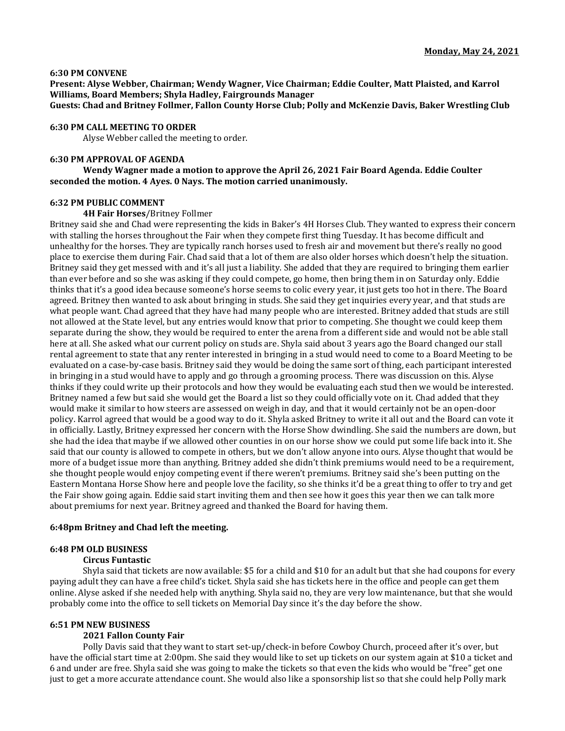#### **6:30 PM CONVENE**

**Present: Alyse Webber, Chairman; Wendy Wagner, Vice Chairman; Eddie Coulter, Matt Plaisted, and Karrol Williams, Board Members; Shyla Hadley, Fairgrounds Manager**

**Guests: Chad and Britney Follmer, Fallon County Horse Club; Polly and McKenzie Davis, Baker Wrestling Club**

## **6:30 PM CALL MEETING TO ORDER**

Alyse Webber called the meeting to order.

## **6:30 PM APPROVAL OF AGENDA**

**Wendy Wagner made a motion to approve the April 26, 2021 Fair Board Agenda. Eddie Coulter seconded the motion. 4 Ayes. 0 Nays. The motion carried unanimously.** 

## **6:32 PM PUBLIC COMMENT**

#### **4H Fair Horses**/Britney Follmer

Britney said she and Chad were representing the kids in Baker's 4H Horses Club. They wanted to express their concern with stalling the horses throughout the Fair when they compete first thing Tuesday. It has become difficult and unhealthy for the horses. They are typically ranch horses used to fresh air and movement but there's really no good place to exercise them during Fair. Chad said that a lot of them are also older horses which doesn't help the situation. Britney said they get messed with and it's all just a liability. She added that they are required to bringing them earlier than ever before and so she was asking if they could compete, go home, then bring them in on Saturday only. Eddie thinks that it's a good idea because someone's horse seems to colic every year, it just gets too hot in there. The Board agreed. Britney then wanted to ask about bringing in studs. She said they get inquiries every year, and that studs are what people want. Chad agreed that they have had many people who are interested. Britney added that studs are still not allowed at the State level, but any entries would know that prior to competing. She thought we could keep them separate during the show, they would be required to enter the arena from a different side and would not be able stall here at all. She asked what our current policy on studs are. Shyla said about 3 years ago the Board changed our stall rental agreement to state that any renter interested in bringing in a stud would need to come to a Board Meeting to be evaluated on a case-by-case basis. Britney said they would be doing the same sort of thing, each participant interested in bringing in a stud would have to apply and go through a grooming process. There was discussion on this. Alyse thinks if they could write up their protocols and how they would be evaluating each stud then we would be interested. Britney named a few but said she would get the Board a list so they could officially vote on it. Chad added that they would make it similar to how steers are assessed on weigh in day, and that it would certainly not be an open-door policy. Karrol agreed that would be a good way to do it. Shyla asked Britney to write it all out and the Board can vote it in officially. Lastly, Britney expressed her concern with the Horse Show dwindling. She said the numbers are down, but she had the idea that maybe if we allowed other counties in on our horse show we could put some life back into it. She said that our county is allowed to compete in others, but we don't allow anyone into ours. Alyse thought that would be more of a budget issue more than anything. Britney added she didn't think premiums would need to be a requirement, she thought people would enjoy competing event if there weren't premiums. Britney said she's been putting on the Eastern Montana Horse Show here and people love the facility, so she thinks it'd be a great thing to offer to try and get the Fair show going again. Eddie said start inviting them and then see how it goes this year then we can talk more about premiums for next year. Britney agreed and thanked the Board for having them.

### **6:48pm Britney and Chad left the meeting.**

### **6:48 PM OLD BUSINESS**

## **Circus Funtastic**

Shyla said that tickets are now available: \$5 for a child and \$10 for an adult but that she had coupons for every paying adult they can have a free child's ticket. Shyla said she has tickets here in the office and people can get them online. Alyse asked if she needed help with anything. Shyla said no, they are very low maintenance, but that she would probably come into the office to sell tickets on Memorial Day since it's the day before the show.

#### **6:51 PM NEW BUSINESS**

#### **2021 Fallon County Fair**

Polly Davis said that they want to start set-up/check-in before Cowboy Church, proceed after it's over, but have the official start time at 2:00pm. She said they would like to set up tickets on our system again at \$10 a ticket and 6 and under are free. Shyla said she was going to make the tickets so that even the kids who would be "free" get one just to get a more accurate attendance count. She would also like a sponsorship list so that she could help Polly mark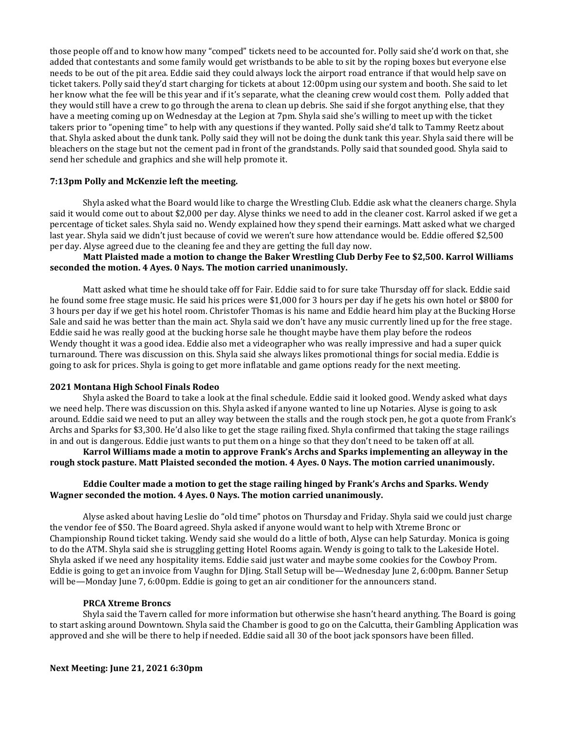those people off and to know how many "comped" tickets need to be accounted for. Polly said she'd work on that, she added that contestants and some family would get wristbands to be able to sit by the roping boxes but everyone else needs to be out of the pit area. Eddie said they could always lock the airport road entrance if that would help save on ticket takers. Polly said they'd start charging for tickets at about 12:00pm using our system and booth. She said to let her know what the fee will be this year and if it's separate, what the cleaning crew would cost them. Polly added that they would still have a crew to go through the arena to clean up debris. She said if she forgot anything else, that they have a meeting coming up on Wednesday at the Legion at 7pm. Shyla said she's willing to meet up with the ticket takers prior to "opening time" to help with any questions if they wanted. Polly said she'd talk to Tammy Reetz about that. Shyla asked about the dunk tank. Polly said they will not be doing the dunk tank this year. Shyla said there will be bleachers on the stage but not the cement pad in front of the grandstands. Polly said that sounded good. Shyla said to send her schedule and graphics and she will help promote it.

## **7:13pm Polly and McKenzie left the meeting.**

Shyla asked what the Board would like to charge the Wrestling Club. Eddie ask what the cleaners charge. Shyla said it would come out to about \$2,000 per day. Alyse thinks we need to add in the cleaner cost. Karrol asked if we get a percentage of ticket sales. Shyla said no. Wendy explained how they spend their earnings. Matt asked what we charged last year. Shyla said we didn't just because of covid we weren't sure how attendance would be. Eddie offered \$2,500 per day. Alyse agreed due to the cleaning fee and they are getting the full day now.

## **Matt Plaisted made a motion to change the Baker Wrestling Club Derby Fee to \$2,500. Karrol Williams seconded the motion. 4 Ayes. 0 Nays. The motion carried unanimously.**

Matt asked what time he should take off for Fair. Eddie said to for sure take Thursday off for slack. Eddie said he found some free stage music. He said his prices were \$1,000 for 3 hours per day if he gets his own hotel or \$800 for 3 hours per day if we get his hotel room. Christofer Thomas is his name and Eddie heard him play at the Bucking Horse Sale and said he was better than the main act. Shyla said we don't have any music currently lined up for the free stage. Eddie said he was really good at the bucking horse sale he thought maybe have them play before the rodeos Wendy thought it was a good idea. Eddie also met a videographer who was really impressive and had a super quick turnaround. There was discussion on this. Shyla said she always likes promotional things for social media. Eddie is going to ask for prices. Shyla is going to get more inflatable and game options ready for the next meeting.

## **2021 Montana High School Finals Rodeo**

Shyla asked the Board to take a look at the final schedule. Eddie said it looked good. Wendy asked what days we need help. There was discussion on this. Shyla asked if anyone wanted to line up Notaries. Alyse is going to ask around. Eddie said we need to put an alley way between the stalls and the rough stock pen, he got a quote from Frank's Archs and Sparks for \$3,300. He'd also like to get the stage railing fixed. Shyla confirmed that taking the stage railings in and out is dangerous. Eddie just wants to put them on a hinge so that they don't need to be taken off at all.

**Karrol Williams made a motin to approve Frank's Archs and Sparks implementing an alleyway in the rough stock pasture. Matt Plaisted seconded the motion. 4 Ayes. 0 Nays. The motion carried unanimously.**

## **Eddie Coulter made a motion to get the stage railing hinged by Frank's Archs and Sparks. Wendy Wagner seconded the motion. 4 Ayes. 0 Nays. The motion carried unanimously.**

Alyse asked about having Leslie do "old time" photos on Thursday and Friday. Shyla said we could just charge the vendor fee of \$50. The Board agreed. Shyla asked if anyone would want to help with Xtreme Bronc or Championship Round ticket taking. Wendy said she would do a little of both, Alyse can help Saturday. Monica is going to do the ATM. Shyla said she is struggling getting Hotel Rooms again. Wendy is going to talk to the Lakeside Hotel. Shyla asked if we need any hospitality items. Eddie said just water and maybe some cookies for the Cowboy Prom. Eddie is going to get an invoice from Vaughn for DJing. Stall Setup will be—Wednesday June 2, 6:00pm. Banner Setup will be—Monday June 7, 6:00pm. Eddie is going to get an air conditioner for the announcers stand.

## **PRCA Xtreme Broncs**

Shyla said the Tavern called for more information but otherwise she hasn't heard anything. The Board is going to start asking around Downtown. Shyla said the Chamber is good to go on the Calcutta, their Gambling Application was approved and she will be there to help if needed. Eddie said all 30 of the boot jack sponsors have been filled.